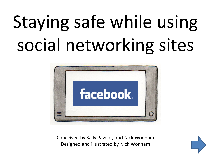# Staying safe while using social networking sites



Conceived by Sally Paveley and Nick Wonham Designed and illustrated by Nick Wonham

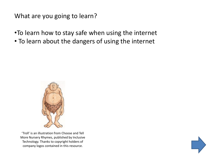What are you going to learn?

- •To learn how to stay safe when using the internet
- To learn about the dangers of using the internet



'Troll' is an illustration from Choose and Tell More Nursery Rhymes, published by Inclusive Technology. Thanks to copyright holders of company logos contained in this resource.

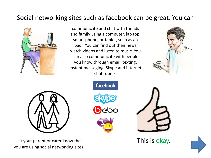## Social networking sites such as facebook can be great. You can



communicate and chat with friends and family using a computer, lap top, smart phone, or tablet, such as an ipad. You can find out their news, watch videos and listen to music. You can also communicate with people you know through email, texting, instant messaging, Skype and internet chat rooms.





Let your parent or carer know that you are using social networking sites.





This is okay.

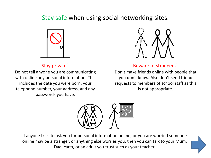## Stay safe when using social networking sites.



## Stay private!

Do not tell anyone you are communicating with online any personal information. This includes the date you were born, your telephone number, your address, and any passwords you have.



Beware of strangers!

Don't make friends online with people that you don't know. Also don't send friend requests to members of school staff as this is not appropriate.



If anyone tries to ask you for personal information online, or you are worried someone online may be a stranger, or anything else worries you, then you can talk to your Mum, Dad, carer, or an adult you trust such as your teacher.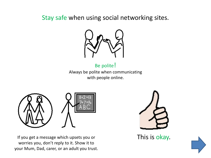Stay safe when using social networking sites.



Be polite!

Always be polite when communicating with people online.



If you get a message which upsets you or worries you, don't reply to it. Show it to your Mum, Dad, carer, or an adult you trust.



This is okay.

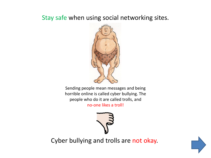# Stay safe when using social networking sites.



Sending people mean messages and being horrible online is called cyber bullying. The people who do it are called trolls, and

no-one likes a troll!



Cyber bullying and trolls are not okay.

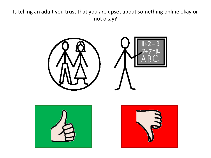### Is telling an adult you trust that you are upset about something online okay or not okay?





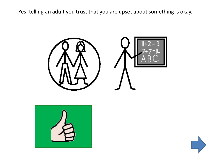Yes, telling an adult you trust that you are upset about something is okay.





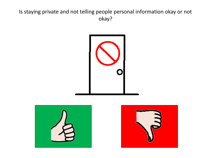### Is staying private and not telling people personal information okay or not okay?





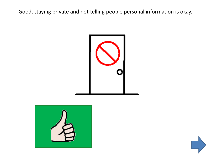Good, staying private and not telling people personal information is okay.





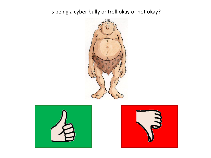Is being a cyber bully or troll okay or not okay?





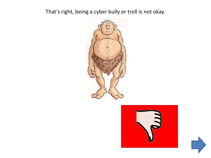That's right, being a cyber bully or troll is not okay.





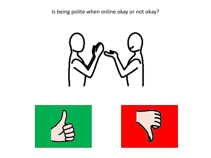Is being polite when online okay or not okay?





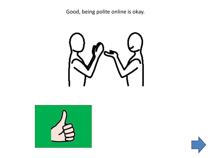Good, being polite online is okay.





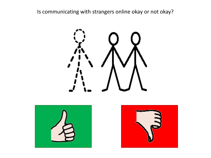Is communicating with strangers online okay or not okay?